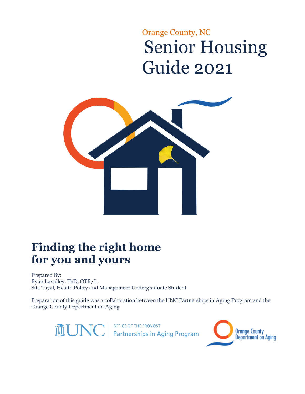# Orange County, NC Senior Housing Guide 2021



# **Finding the right home for you and yours**

Prepared By: Ryan Lavalley, PhD, OTR/L Sita Tayal, Health Policy and Management Undergraduate Student

Preparation of this guide was a collaboration between the UNC Partnerships in Aging Program and the Orange County Department on Aging



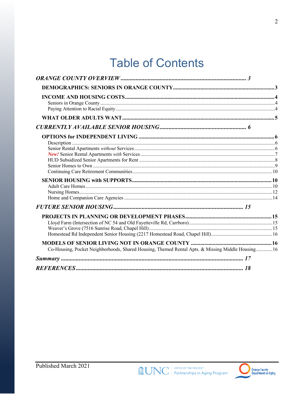# **Table of Contents**

| Co-Housing, Pocket Neighborhoods, Shared Housing, Themed Rental Apts. & Missing Middle Housing16 |  |
|--------------------------------------------------------------------------------------------------|--|
|                                                                                                  |  |
|                                                                                                  |  |

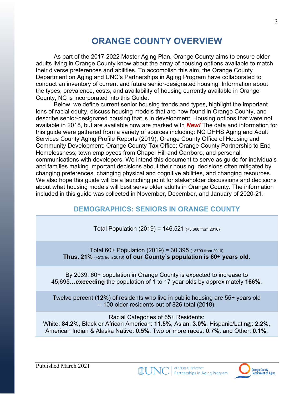# **ORANGE COUNTY OVERVIEW**

As part of the 2017-2022 Master Aging Plan, Orange County aims to ensure older adults living in Orange County know about the array of housing options available to match their diverse preferences and abilities. To accomplish this aim, the Orange County Department on Aging and UNC's Partnerships in Aging Program have collaborated to conduct an inventory of current and future senior-designated housing. Information about the types, prevalence, costs, and availability of housing currently available in Orange County, NC is incorporated into this Guide.

Below, we define current senior housing trends and types, highlight the important lens of racial equity, discuss housing models that are now found in Orange County, and describe senior-designated housing that is in development. Housing options that were not available in 2018, but are available now are marked with *New!* The data and information for this guide were gathered from a variety of sources including: NC DHHS Aging and Adult Services County Aging Profile Reports (2019), Orange County Office of Housing and Community Development; Orange County Tax Office; Orange County Partnership to End Homelessness; town employees from Chapel Hill and Carrboro, and personal communications with developers. We intend this document to serve as guide for individuals and families making important decisions about their housing; decisions often mitigated by changing preferences, changing physical and cognitive abilities, and changing resources. We also hope this guide will be a launching point for stakeholder discussions and decisions about what housing models will best serve older adults in Orange County. The information included in this guide was collected in November, December, and January of 2020-21.

# **DEMOGRAPHICS: SENIORS IN ORANGE COUNTY**

Total Population  $(2019) = 146,521$  (+5,668 from 2016)

Total 60+ Population (2019) = 30,395 (+3709 from 2016) **Thus, 21%** (+2% from 2016) **of our County's population is 60+ years old.**

By 2039, 60+ population in Orange County is expected to increase to 45,695…**exceeding** the population of 1 to 17 year olds by approximately **166%**.

Twelve percent (**12%**) of residents who live in public housing are 55+ years old -- 100 older residents out of 826 total (2018).

Racial Categories of 65+ Residents: White: **84.2%**, Black or African American: **11.5%**, Asian: **3.0%**, Hispanic/Latin@: **2.2%**, American Indian & Alaska Native: **0.5%**, Two or more races: **0.7%**, and Other: **0.1%**.



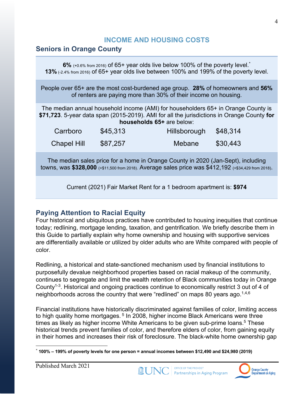# **INCOME AND HOUSING COSTS**

## **Seniors in Orange County**

**6%** (+0.6% from 2016) of 65+ year olds live below 100% of the poverty level.<sup>\*</sup> **13%** (-2.4% from 2016) of 65+ year olds live between 100% and 199% of the poverty level.

People over 65+ are the most cost-burdened age group. **28%** of homeowners and **56%** of renters are paying more than 30% of their income on housing.

The median annual household income (AMI) for householders 65+ in Orange County is **\$71,723**. 5-year data span (2015-2019). AMI for all the jurisdictions in Orange County **for households 65+** are below:

| Carrboro           | \$45,313 | Hillsborough | \$48,314 |
|--------------------|----------|--------------|----------|
| <b>Chapel Hill</b> | \$87,257 | Mebane       | \$30,443 |

The median sales price for a home in Orange County in 2020 (Jan-Sept), including towns, was **\$328,000** (+\$11,500 from 2018). Average sales price was \$412,192 (+\$34,429 from 2018).

Current (2021) Fair Market Rent for a 1 bedroom apartment is: **\$974**

# **Paying Attention to Racial Equity**

Four historical and ubiquitous practices have contributed to housing inequities that continue today; redlining, mortgage lending, taxation, and gentrification. We briefly describe them in this Guide to partially explain why home ownership and housing with supportive services are differentially available or utilized by older adults who are White compared with people of color.

Redlining, a historical and state-sanctioned mechanism used by financial institutions to purposefully devalue neighborhood properties based on racial makeup of the community, continues to segregate and limit the wealth retention of Black communities today in Orange County1-3. Historical and ongoing practices continue to economically restrict 3 out of 4 of neighborhoods across the country that were "redlined" on maps 80 years ago.<sup>1,4,6</sup>

Financial institutions have historically discriminated against families of color, limiting access to high quality home mortgages.<sup>5</sup> In 2008, higher income Black Americans were three times as likely as higher income White Americans to be given sub-prime loans. <sup>5</sup> These historical trends prevent families of color, and therefore elders of color, from gaining equity in their homes and increases their risk of foreclosure. The black-white home ownership gap





<sup>\*</sup> **100% – 199% of poverty levels for one person = annual incomes between \$12,490 and \$24,980 (2019)**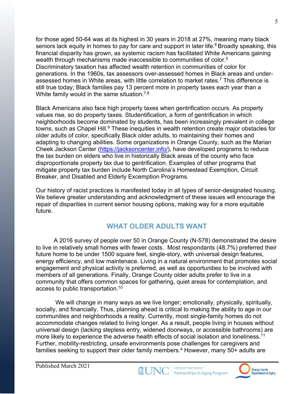for those aged 50-64 was at its highest in 30 years in 2018 at 27%, meaning many black seniors lack equity in homes to pay for care and support in later life.<sup>6</sup> Broadly speaking, this financial disparity has grown, as systemic racism has facilitated White Americans gaining wealth through mechanisms made inaccessible to communities of color.<sup>5</sup> Discriminatory taxation has affected wealth retention in communities of color for generations. In the 1960s, tax assessors over-assessed homes in Black areas and underassessed homes in White areas, with little correlation to market rates.7 This difference is still true today; Black families pay 13 percent more in property taxes each year than a White family would in the same situation.<sup>7,8</sup>

Black Americans also face high property taxes when gentrification occurs. As property values rise, so do property taxes. Studentification, a form of gentrification in which neighborhoods become dominated by students, has been increasingly prevalent in college towns, such as Chapel Hill.<sup>9</sup> These inequities in wealth retention create major obstacles for older adults of color, specifically Black older adults, to maintaining their homes and adapting to changing abilities. Some organizations in Orange County, such as the Marian Cheek Jackson Center (https://jacksoncenter.info/), have developed programs to reduce the tax burden on elders who live in historically Black areas of the county who face disproportionate property tax due to gentrification. Examples of other programs that mitigate property tax burden include North Carolina's Homestead Exemption, Circuit Breaker, and Disabled and Elderly Excemption Programs.

Our history of racist practices is manifested today in all types of senior-designated housing. We believe greater understanding and acknowledgment of these issues will encourage the repair of disparities in current senior housing options, making way for a more equitable future.

## **WHAT OLDER ADULTS WANT**

A 2016 survey of people over 50 in Orange County (N-578) demonstrated the desire to live in relatively small homes with fewer costs. Most respondants (48.7%) preferred their future home to be under 1500 square feet, single-story, with universal design features, energy efficiency, and low maintenace. Living in a natural environment that promotes social engagement and physical activity is preferred, as well as opportunities to be involved with members of all generations. Finally, Orange County older adults prefer to live in a community that offers common spaces for gathering, quiet areas for contemplation, and access to public transportation.10

We will change in many ways as we live longer; emotionally, physically, spiritually, socially, and financially. Thus, planning ahead is critical to making the ability to age in our communities and neighborhoods a reality. Currently, most single-family homes do not accommodate changes related to living longer. As a result, people living in houses without universal design (lacking stepless entry, widened doorways, or accessible bathrooms) are more likely to experience the adverse health effects of social isolation and loneliness.<sup>11</sup> Further, mobility-restricting, unsafe environments pose challenges for caregivers and families seeking to support their older family members. <sup>4</sup> However, many 50+ adults are



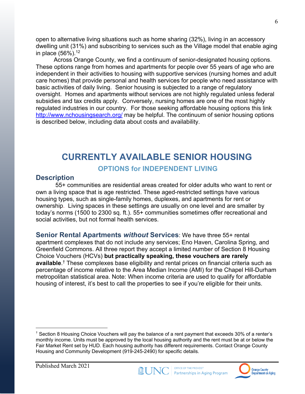open to alternative living situations such as home sharing (32%), living in an accessory dwelling unit (31%) and subscribing to services such as the Village model that enable aging in place (56%). 12

Across Orange County, we find a continuum of senior-designated housing options. These options range from homes and apartments for people over 55 years of age who are independent in their activities to housing with supportive services (nursing homes and adult care homes) that provide personal and health services for people who need assistance with basic activities of daily living. Senior housing is subjected to a range of regulatory oversight. Homes and apartments without services are not highly regulated unless federal subsidies and tax credits apply. Conversely, nursing homes are one of the most highly regulated industries in our country. For those seeking affordable housing options this link http://www.nchousingsearch.org/ may be helpful. The continuum of senior housing options is described below, including data about costs and availability.

# **CURRENTLY AVAILABLE SENIOR HOUSING**

#### **OPTIONS for INDEPENDENT LIVING**

#### **Description**

55+ communities are residential areas created for older adults who want to rent or own a living space that is age restricted. These aged-restricted settings have various housing types, such as single-family homes, duplexes, and apartments for rent or ownership. Living spaces in these settings are usually on one level and are smaller by today's norms (1500 to 2300 sq. ft.). 55+ communities sometimes offer recreational and social activities, but not formal health services.

**Senior Rental Apartments** *without* **Services**: We have three 55+ rental apartment complexes that do not include any services; Eno Haven, Carolina Spring, and Greenfield Commons. All three report they accept a limited number of Section 8 Housing Choice Vouchers (HCVs) **but practically speaking, these vouchers are rarely available**. † These complexes base eligibility and rental prices on financial criteria such as percentage of income relative to the Area Median Income (AMI) for the Chapel Hill-Durham metropolitan statistical area. Note: When income criteria are used to qualify for affordable housing of interest, it's best to call the properties to see if you're eligible for their units.





 $\dagger$  Section 8 Housing Choice Vouchers will pay the balance of a rent payment that exceeds 30% of a renter's monthly income. Units must be approved by the local housing authority and the rent must be at or below the Fair Market Rent set by HUD. Each housing authority has different requirements. Contact Orange County Housing and Community Development (919-245-2490) for specific details.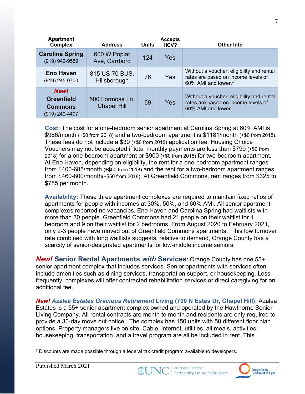| <b>Apartment</b><br><b>Complex</b>                            | <b>Address</b>                        | Units | <b>Accepts</b><br>HCV? | <b>Other Info</b>                                                                                                                |
|---------------------------------------------------------------|---------------------------------------|-------|------------------------|----------------------------------------------------------------------------------------------------------------------------------|
| <b>Carolina Spring</b><br>(919) 942-9559                      | 600 W Poplar<br>Ave, Carrboro         | 124   | <b>Yes</b>             |                                                                                                                                  |
| <b>Eno Haven</b><br>(919) 245-0700                            | 815 US-70 BUS,<br>Hillsborough        | 76    | <b>Yes</b>             | Without a voucher: eligibility and rental<br>rates are based on income levels of<br>60% AMI and lower. <sup><math>#</math></sup> |
| New!<br><b>Greenfield</b><br><b>Commons</b><br>(919) 240-4497 | 500 Formosa Ln,<br><b>Chapel Hill</b> | 69    | <b>Yes</b>             | Without a voucher: eligibility and rental<br>rates are based on income levels of<br>60% AMI and lower.                           |

**Cost:** The cost for a one-bedroom senior apartment at Carolina Spring at 60% AMI is \$986/month (+\$0 from 2018) and a two-bedroom apartment is \$1181/month (+\$0 from 2018). These fees do not include a \$30 (+\$0 from 2018) application fee. Housing Choice Vouchers may not be accepted if total monthly payments are less than \$799 (+\$0 from 2018) for a one-bedroom apartment or \$900 (+\$0 from 2018) for two-bedroom apartment. At Eno Haven, depending on eligibility, the rent for a one-bedroom apartment ranges from \$400-685/month (+\$50 from 2018) and the rent for a two-bedroom apartment ranges from \$460-800/month(+\$50 from 2018). At Greenfield Commons, rent ranges from \$325 to \$785 per month.

**Availability:** These three apartment complexes are required to maintain fixed ratios of apartments for people with incomes at 30%, 50%, and 60% AMI. All senior apartment complexes reported no vacancies. Eno Haven and Carolina Spring had waitlists with more than 30 people. Greenfield Commons had 21 people on their waitlist for 1 bedroom and 9 on their waitlist for 2 bedrooms. From August 2020 to February 2021, only 2-3 people have moved out of Greenfield Commons apartments. This low turnover rate combined with long waitlists suggests, relative to demand, Orange County has a scarcity of senior-designated apartments for low-middle income seniors.

*New!* **Senior Rental Apartments** *with* **Services**: Orange County has one 55+ senior apartment complex that includes services. Senior apartments with services often include amenities such as dining services, transportation support, or housekeeping. Less frequently, complexes will offer contracted rehabilitation services or direct caregiving for an additional fee.

*New! Azalea Estates Gracious Retirement* **Living (700 N Estes Dr, Chapel Hill):** Azalea Estates is a 55+ senior apartment complex owned and operated by the Hawthorne Senior Living Company. All rental contracts are month to month and residents are only required to provide a 30-day move out notice. The complex has 150 units with 50 different floor plan options. Property managers live on site. Cable, internet, utilities, all meals, activities, housekeeping, transportation, and a travel program are all be included in rent. This





<sup>‡</sup> Discounts are made possible through a federal tax credit program available to developers.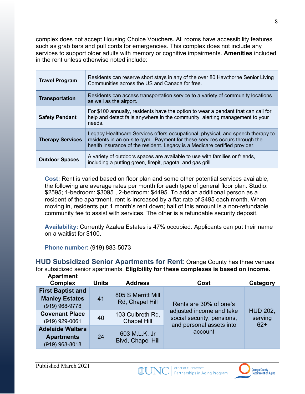complex does not accept Housing Choice Vouchers. All rooms have accessibility features such as grab bars and pull cords for emergencies. This complex does not include any services to support older adults with memory or cognitive impairments. **Amenities** included in the rent unless otherwise noted include:

| <b>Travel Program</b>   | Residents can reserve short stays in any of the over 80 Hawthorne Senior Living<br>Communities across the US and Canada for free.                                                                                                           |
|-------------------------|---------------------------------------------------------------------------------------------------------------------------------------------------------------------------------------------------------------------------------------------|
| <b>Transportation</b>   | Residents can access transportation service to a variety of community locations<br>as well as the airport.                                                                                                                                  |
| <b>Safety Pendant</b>   | For \$100 annually, residents have the option to wear a pendant that can call for<br>help and detect falls anywhere in the community, alerting management to your<br>needs.                                                                 |
| <b>Therapy Services</b> | Legacy Healthcare Services offers occupational, physical, and speech therapy to<br>residents in an on-site gym. Payment for these services occurs through the<br>health insurance of the resident. Legacy is a Medicare certified provider. |
| <b>Outdoor Spaces</b>   | A variety of outdoors spaces are available to use with families or friends,<br>including a putting green, firepit, pagota, and gas grill.                                                                                                   |

**Cost:** Rent is varied based on floor plan and some other potential services available, the following are average rates per month for each type of general floor plan. Studio: \$2595; 1-bedroom: \$3095 , 2-bedroom: \$4495. To add an additional person as a resident of the apartment, rent is increased by a flat rate of \$495 each month. When moving in, residents put 1 month's rent down; half of this amount is a non-refundable community fee to assist with services. The other is a refundable security deposit.

**Availability:** Currently Azalea Estates is 47% occupied. Applicants can put their name on a waitlist for \$100.

**Phone number:** (919) 883-5073

**HUD Subsidized Senior Apartments for Rent**: Orange County has three venues for subsidized senior apartments. **Eligibility for these complexes is based on income. Apartment** 

| <b>Aparungul</b><br><b>Complex</b>                                    | <b>Units</b><br><b>Address</b> |                                           | Cost                                                                               | Category                            |
|-----------------------------------------------------------------------|--------------------------------|-------------------------------------------|------------------------------------------------------------------------------------|-------------------------------------|
| <b>First Baptist and</b><br><b>Manley Estates</b><br>$(919)$ 968-9778 | 41                             | 805 S Merritt Mill<br>Rd, Chapel Hill     | Rents are 30% of one's                                                             |                                     |
| <b>Covenant Place</b><br>(919) 929-0061                               | 40                             | 103 Culbreth Rd,<br><b>Chapel Hill</b>    | adjusted income and take<br>social security, pensions,<br>and personal assets into | <b>HUD 202,</b><br>serving<br>$62+$ |
| <b>Adelaide Walters</b><br><b>Apartments</b><br>$(919)$ 968-8018      | 24                             | 603 M.L.K. Jr<br><b>Blvd, Chapel Hill</b> | account                                                                            |                                     |

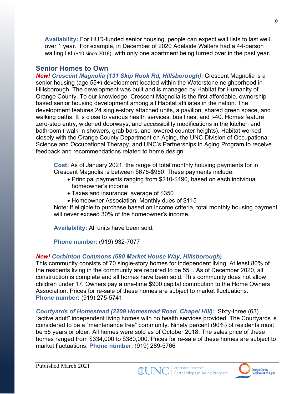**Availability:** For HUD-funded senior housing, people can expect wait lists to last well over 1 year. For example, in December of 2020 Adelaide Walters had a 44-person waiting list (+10 since 2018), with only one apartment being turned over in the past year.

### **Senior Homes to Own**

*New! Crescent Magnolia (131 Skip Rook Rd, Hillsborough):* Crescent Magnolia is a senior housing (age 55+) development located within the Waterstone neighborhood in Hillsborough. The development was built and is managed by Habitat for Humanity of Orange County. To our knowledge, Crescent Magnolia is the first affordable, ownershipbased senior housing development among all Habitat affiliates in the nation. The development features 24 single-story attached units, a pavilion, shared green space, and walking paths. It is close to various health services, bus lines, and I-40. Homes feature zero-step entry, widened doorways, and accessibility modifications in the kitchen and bathroom ( walk-in showers, grab bars, and lowered counter heights). Habitat worked closely with the Orange County Department on Aging, the UNC Division of Occupational Science and Occupational Therapy, and UNC's Partnerships in Aging Program to receive feedback and recommendations related to home design.

**Cost:** As of January 2021, the range of total monthly housing payments for in Crescent Magnolia is between \$675-\$950. These payments include:

- Principal payments ranging from \$210-\$490, based on each individual homeowner's income
- Taxes and insurance: average of \$350
- Homeowner Association: Monthly dues of \$115

Note: If eligible to purchase based on income criteria, total monthly housing payment will never exceed 30% of the homeowner's income.

**Availability:** All units have been sold.

**Phone number:** (919) 932-7077

#### *New! Corbinton Commons (680 Market House Way, Hillsborough)*

This community consists of 70 single-story homes for independent living. At least 80% of the residents living in the community are required to be 55+. As of December 2020, all construction is complete and all homes have been sold. This community does not allow children under 17. Owners pay a one-time \$900 capital contribution to the Home Owners Association. Prices for re-sale of these homes are subject to market fluctuations. **Phone number:** (919) 275-5741

*Courtyards of Homestead (2209 Homestead Road, Chapel Hill):* Sixty-three (63) "active adult" independent living homes with no health services provided. The Courtyards is considered to be a "maintenance free" community. Ninety percent (90%) of residents must be 55 years or older. All homes were sold as of October 2018. The sales price of these homes ranged from \$334,000 to \$380,000. Prices for re-sale of these homes are subject to market fluctuations. **Phone number:** (919) 289-5766



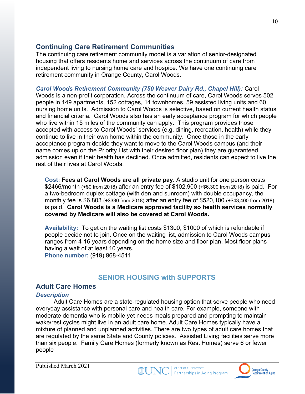## **Continuing Care Retirement Communities**

The continuing care retirement community model is a variation of senior-designated housing that offers residents home and services across the continuum of care from independent living to nursing home care and hospice. We have one continuing care retirement community in Orange County, Carol Woods.

*Carol Woods Retirement Community (750 Weaver Dairy Rd., Chapel Hill):* Carol Woods is a non-profit corporation. Across the continuum of care, Carol Woods serves 502 people in 149 apartments, 152 cottages, 14 townhomes, 59 assisted living units and 60 nursing home units. Admission to Carol Woods is selective, based on current health status and financial criteria. Carol Woods also has an early acceptance program for which people who live within 15 miles of the community can apply. This program provides those accepted with access to Carol Woods' services (e.g. dining, recreation, health) while they continue to live in their own home within the community. Once those in the early acceptance program decide they want to move to the Carol Woods campus (and their name comes up on the Priority List with their desired floor plan) they are guaranteed admission even if their health has declined. Once admitted, residents can expect to live the rest of their lives at Carol Woods.

**Cost: Fees at Carol Woods are all private pay.** A studio unit for one person costs \$2466/month (+\$0 from 2018) after an entry fee of \$102,900 (+\$6,300 from 2018) is paid. For a two-bedroom duplex cottage (with den and sunroom) with double occupancy, the monthly fee is \$6,803 (+\$330 from 2018) after an entry fee of \$520,100 (+\$43,400 from 2018) is paid. **Carol Woods is a Medicare approved facility so health services normally covered by Medicare will also be covered at Carol Woods.** 

**Availability:** To get on the waiting list costs \$1300, \$1000 of which is refundable if people decide not to join. Once on the waiting list, admission to Carol Woods campus ranges from 4-16 years depending on the home size and floor plan. Most floor plans having a wait of at least 10 years. **Phone number:** (919) 968-4511

# **SENIOR HOUSING with SUPPORTS**

#### **Adult Care Homes**

#### *Description*

Adult Care Homes are a state-regulated housing option that serve people who need everyday assistance with personal care and health care. For example, someone with moderate dementia who is mobile yet needs meals prepared and prompting to maintain wake/rest cycles might live in an adult care home. Adult Care Homes typically have a mixture of planned and unplanned activities. There are two types of adult care homes that are regulated by the same State and County policies. Assisted Living facilities serve more than six people. Family Care Homes (formerly known as Rest Homes) serve 6 or fewer people

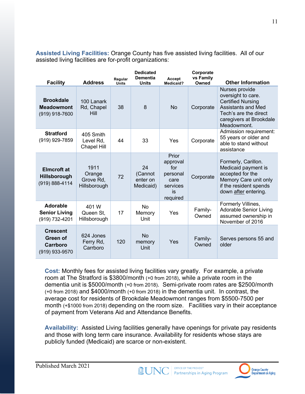**Assisted Living Facilities:** Orange County has five assisted living facilities. All of our assisted living facilities are for-profit organizations:

| <b>Facility</b>                                             | <b>Address</b>                              | Regular<br><b>Units</b> | <b>Dedicated</b><br><b>Dementia</b><br><b>Units</b> | Accept<br><b>Medicaid?</b>                                                 | Corporate<br>vs Family<br>Owned | <b>Other Information</b>                                                                                                                                  |
|-------------------------------------------------------------|---------------------------------------------|-------------------------|-----------------------------------------------------|----------------------------------------------------------------------------|---------------------------------|-----------------------------------------------------------------------------------------------------------------------------------------------------------|
| <b>Brookdale</b><br><b>Meadowmont</b><br>$(919)$ 918-7600   | 100 Lanark<br>Rd, Chapel<br>Hill            | 38                      | 8                                                   | <b>No</b>                                                                  | Corporate                       | Nurses provide<br>oversight to care.<br><b>Certified Nursing</b><br>Assistants and Med<br>Tech's are the direct<br>caregivers at Brookdale<br>Meadowmont. |
| <b>Stratford</b><br>(919) 929-7859                          | 405 Smith<br>Level Rd,<br>Chapel Hill       | 44                      | 33                                                  | Yes                                                                        | Corporate                       | Admission requirement:<br>55 years or older and<br>able to stand without<br>assistance                                                                    |
| <b>Elmcroft</b> at<br><b>Hillsborough</b><br>(919) 888-4114 | 1911<br>Orange<br>Grove Rd,<br>Hillsborough | 72                      | 24<br>(Cannot<br>enter on<br>Medicaid)              | Prior<br>approval<br>for<br>personal<br>care<br>services<br>is<br>required | Corporate                       | Formerly, Carillon.<br>Medicaid payment is<br>accepted for the<br>Memory Care unit only<br>if the resident spends<br>down after entering.                 |
| Adorable<br><b>Senior Living</b><br>(919) 732-4201          | 401 W<br>Queen St.<br>Hillsborough          | 17                      | <b>No</b><br>Memory<br>Unit                         | Yes                                                                        | Family-<br>Owned                | Formerly Villines,<br><b>Adorable Senior Living</b><br>assumed ownership in<br>November of 2016                                                           |
| <b>Crescent</b><br>Green of<br>Carrboro<br>(919) 933-9570   | 624 Jones<br>Ferry Rd,<br>Carrboro          | 120                     | <b>No</b><br>memory<br>Unit                         | Yes                                                                        | Family-<br>Owned                | Serves persons 55 and<br>older                                                                                                                            |

**Cost:** Monthly fees for assisted living facilities vary greatly. For example, a private room at The Stratford is \$3800/month (+0 from 2018), while a private room in the dementia unit is \$5000/month (+0 from 2018). Semi-private room rates are \$2500/month (+0 from 2018) and \$4000/month (+0 from 2018) in the dementia unit. In contrast, the average cost for residents of Brookdale Meadowmont ranges from \$5500-7500 per month (+\$1000 from 2018) depending on the room size. Facilities vary in their acceptance of payment from Veterans Aid and Attendance Benefits.

**Availability:** Assisted Living facilities generally have openings for private pay residents and those with long term care insurance. Availability for residents whose stays are publicly funded (Medicaid) are scarce or non-existent.

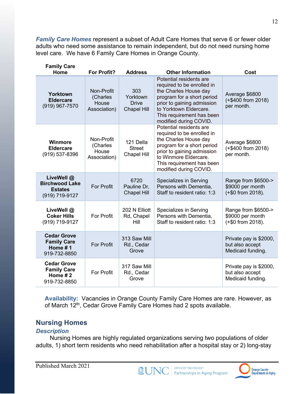*Family Care Homes* represent a subset of Adult Care Homes that serve 6 or fewer older adults who need some assistance to remain independent, but do not need nursing home level care. We have 6 Family Care Homes in Orange County.

| <b>Family Care</b><br>Home |                                                                         | <b>For Profit?</b>                              | <b>Address</b>                                        | <b>Other Information</b>                                                                                                                                                                                                    | Cost                                                           |
|----------------------------|-------------------------------------------------------------------------|-------------------------------------------------|-------------------------------------------------------|-----------------------------------------------------------------------------------------------------------------------------------------------------------------------------------------------------------------------------|----------------------------------------------------------------|
|                            | Yorktown<br><b>Eldercare</b><br>(919) 967-7570                          | Non-Profit<br>(Charles<br>House<br>Association) | 303<br>Yorktown<br><b>Drive</b><br><b>Chapel Hill</b> | Potential residents are<br>required to be enrolled in<br>the Charles House day<br>program for a short period<br>prior to gaining admission<br>to Yorktown Eldercare.<br>This requirement has been<br>modified during COVID. | Average \$6800<br>(+\$400 from 2018)<br>per month.             |
|                            | <b>Winmore</b><br><b>Eldercare</b><br>(919) 537-8396                    | Non-Profit<br>(Charles<br>House<br>Association) | 121 Della<br><b>Street</b><br><b>Chapel Hill</b>      | Potential residents are<br>required to be enrolled in<br>the Charles House day<br>program for a short period<br>prior to gaining admission<br>to Winmore Eldercare.<br>This requirement has been<br>modified during COVID.  | Average \$6800<br>(+\$400 from 2018)<br>per month.             |
|                            | LiveWell @<br><b>Birchwood Lake</b><br><b>Estates</b><br>(919) 719-9127 | <b>For Profit</b>                               | 6720<br>Pauline Dr,<br><b>Chapel Hill</b>             | Specializes in Serving<br>Persons with Dementia,<br>Staff to resident ratio: 1:3                                                                                                                                            | Range from \$6500-><br>\$9000 per month<br>(+\$0 from 2018).   |
|                            | LiveWell@<br><b>Coker Hills</b><br>(919) 719-9127                       | <b>For Profit</b>                               | 202 N Elliott<br>Rd, Chapel<br>Hill                   | Specializes in Serving<br>Persons with Dementia,<br>Staff to resident ratio: 1:3                                                                                                                                            | Range from \$6500-><br>\$9000 per month<br>(+\$0 from 2018).   |
|                            | <b>Cedar Grove</b><br><b>Family Care</b><br>Home #1<br>919-732-8850     | <b>For Profit</b>                               | 313 Saw Mill<br>Rd., Cedar<br>Grove                   |                                                                                                                                                                                                                             | Private pay is \$2000,<br>but also accept<br>Medicaid funding. |
|                            | <b>Cedar Grove</b><br><b>Family Care</b><br>Home $#2$<br>919-732-8850   | <b>For Profit</b>                               | 317 Saw Mill<br>Rd., Cedar<br>Grove                   |                                                                                                                                                                                                                             | Private pay is \$2000,<br>but also accept<br>Medicaid funding. |

**Availability:** Vacancies in Orange County Family Care Homes are rare. However, as of March 12<sup>th</sup>, Cedar Grove Family Care Homes had 2 spots available.

## **Nursing Homes**

#### *Description*

Nursing Homes are highly regulated organizations serving two populations of older adults, 1) short term residents who need rehabilitation after a hospital stay or 2) long-stay

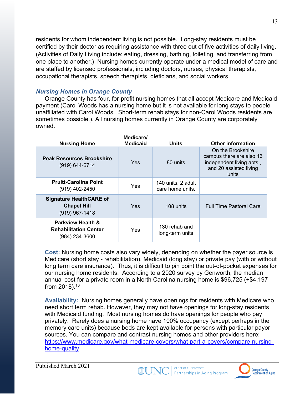residents for whom independent living is not possible. Long-stay residents must be certified by their doctor as requiring assistance with three out of five activities of daily living. (Activities of Daily Living include: eating, dressing, bathing, toileting, and transferring from one place to another.) Nursing homes currently operate under a medical model of care and are staffed by licensed professionals, including doctors, nurses, physical therapists, occupational therapists, speech therapists, dieticians, and social workers.

#### *Nursing Homes in Orange County*

Orange County has four, for-profit nursing homes that all accept Medicare and Medicaid payment (Carol Woods has a nursing home but it is not available for long stays to people unaffiliated with Carol Woods. Short-term rehab stays for non-Carol Woods residents are sometimes possible.). All nursing homes currently in Orange County are corporately owned.

| <b>Nursing Home</b>                                                            | Medicare/<br><b>Medicaid</b> | Units                                  | <b>Other information</b>                                                                                      |
|--------------------------------------------------------------------------------|------------------------------|----------------------------------------|---------------------------------------------------------------------------------------------------------------|
| <b>Peak Resources Brookshire</b><br>$(919) 644 - 6714$                         | Yes                          | 80 units                               | On the Brookshire<br>campus there are also 16<br>independent living apts.,<br>and 20 assisted living<br>units |
| <b>Pruitt-Carolina Point</b><br>(919) 402-2450                                 | Yes                          | 140 units, 2 adult<br>care home units. |                                                                                                               |
| <b>Signature HealthCARE of</b><br><b>Chapel Hill</b><br>$(919)$ 967-1418       | Yes                          | 108 units                              | <b>Full Time Pastoral Care</b>                                                                                |
| <b>Parkview Health &amp;</b><br><b>Rehabilitation Center</b><br>(984) 234-3600 | Yes                          | 130 rehab and<br>long-term units       |                                                                                                               |

**Cost:** Nursing home costs also vary widely, depending on whether the payer source is Medicare (short stay - rehabilitation), Medicaid (long stay) or private pay (with or without long term care insurance). Thus, it is difficult to pin point the out-of-pocket expenses for our nursing home residents. According to a 2020 survey by Genworth, the median annual cost for a private room in a North Carolina nursing home is \$96,725 (+\$4,197 from 2018).13

**Availability:** Nursing homes generally have openings for residents with Medicare who need short term rehab. However, they may not have openings for long-stay residents with Medicaid funding. Most nursing homes do have openings for people who pay privately. Rarely does a nursing home have 100% occupancy (except perhaps in the memory care units) because beds are kept available for persons with particular payor sources. You can compare and contrast nursing homes and other providers here: https://www.medicare.gov/what-medicare-covers/what-part-a-covers/compare-nursinghome-quality



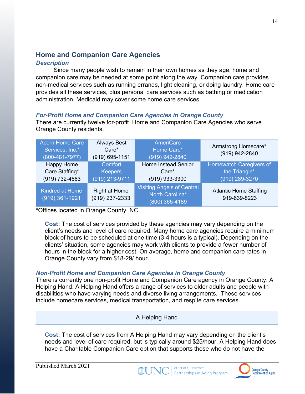# **Home and Companion Care Agencies**

#### *Description*

Since many people wish to remain in their own homes as they age, home and companion care may be needed at some point along the way. Companion care provides non-medical services such as running errands, light cleaning, or doing laundry. Home care provides all these services, plus personal care services such as bathing or medication administration. Medicaid may cover some home care services.

#### *For-Profit Home and Companion Care Agencies in Orange County*

There are currently twelve for-profit Home and Companion Care Agencies who serve Orange County residents.

| <b>Acorn Home Care</b><br>Services, Inc.*<br>$(800 - 481 - 7977)$ | <b>Always Best</b><br>Care*<br>(919) 695-1151 | <b>AmeriCare</b><br>Home Care*<br>(919) 942-2840                       | Armstrong Homecare*<br>(919) 942-2840                             |
|-------------------------------------------------------------------|-----------------------------------------------|------------------------------------------------------------------------|-------------------------------------------------------------------|
| <b>Happy Home</b><br>Care Staffing*<br>(919) 732-4663             | Comfort<br><b>Keepers</b><br>(919) 213-9711   | <b>Home Instead Senior</b><br>$Care*$<br>(919) 933-3300                | <b>Homewatch Caregivers of</b><br>the Triangle*<br>(919) 289-3270 |
| <b>Kindred at Home</b><br>$(919)$ 361-1921                        | <b>Right at Home</b><br>(919) 237-2333        | <b>Visiting Angels of Central</b><br>North Carolina*<br>(800) 365-4189 | <b>Atlantic Home Staffing</b><br>919-639-8223                     |

\*Offices located in Orange County, NC.

**Cost:** The cost of services provided by these agencies may vary depending on the client's needs and level of care required. Many home care agencies require a minimum block of hours to be scheduled at one time (3-4 hours is a typical). Depending on the clients' situation, some agencies may work with clients to provide a fewer number of hours in the block for a higher cost. On average, home and companion care rates in Orange County vary from \$18-29/ hour.

#### *Non-Profit Home and Companion Care Agencies in Orange County*

There is currently one non-profit Home and Companion Care agency in Orange County: A Helping Hand. A Helping Hand offers a range of services to older adults and people with disabilities who have varying needs and diverse living arrangements. These services include homecare services, medical transportation, and respite care services.

A Helping Hand

**Cost:** The cost of services from A Helping Hand may vary depending on the client's needs and level of care required, but is typically around \$25/hour. A Helping Hand does have a Charitable Companion Care option that supports those who do not have the



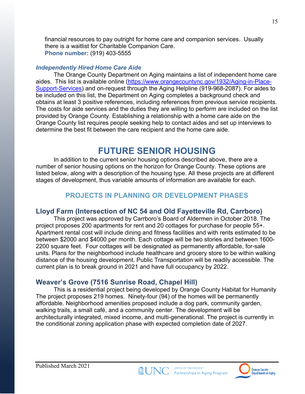financial resources to pay outright for home care and companion services. Usually there is a waitlist for Charitable Companion Care. **Phone number:** (919) 403-5555

#### *Independently Hired Home Care Aide*

The Orange County Department on Aging maintains a list of independent home care aides. This list is available online (https://www.orangecountync.gov/1932/Aging-in-Place-Support-Services) and on-request through the Aging Helpline (919-968-2087). For aides to be included on this list, the Department on Aging completes a background check and obtains at least 3 positive references, including references from previous service recipients. The costs for aide services and the duties they are willing to perform are included on the list provided by Orange County. Establishing a relationship with a home care aide on the Orange County list requires people seeking help to contact aides and set up interviews to determine the best fit between the care recipient and the home care aide.

# **FUTURE SENIOR HOUSING**

In addition to the current senior housing options described above, there are a number of senior housing options on the horizon for Orange County. These options are listed below, along with a description of the housing type. All these projects are at different stages of development, thus variable amounts of information are available for each.

# **PROJECTS IN PLANNING OR DEVELOPMENT PHASES**

## **Lloyd Farm (Intersection of NC 54 and Old Fayetteville Rd, Carrboro)**

This project was approved by Carrboro's Board of Aldermen in October 2018. The project proposes 200 apartments for rent and 20 cottages for purchase for people 55+. Apartment rental cost will include dining and fitness facilities and with rents estimated to be between \$2000 and \$4000 per month. Each cottage will be two stories and between 1600- 2200 square feet. Four cottages will be designated as permanently affordable, for-sale units. Plans for the neighborhood include healthcare and grocery store to be within walking distance of the housing development. Public Transportation will be readily accessible. The current plan is to break ground in 2021 and have full occupancy by 2022.

# **Weaver's Grove (7516 Sunrise Road, Chapel Hill)**

This is a residential project being developed by Orange County Habitat for Humanity The project proposes 219 homes. Ninety-four (94) of the homes will be permanently affordable. Neighborhood amenities proposed include a dog park, community garden, walking trails, a small café, and a community center. The development will be architecturally integrated, mixed income, and multi-generational. The project is currently in the conditional zoning application phase with expected completion date of 2027.



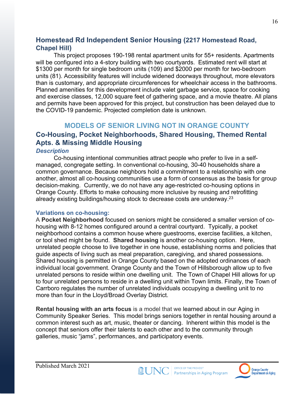## **Homestead Rd Independent Senior Housing (2217 Homestead Road, Chapel Hill)**

This project proposes 190-198 rental apartment units for 55+ residents. Apartments will be configured into a 4-story building with two courtyards. Estimated rent will start at \$1300 per month for single bedroom units (109) and \$2000 per month for two-bedroom units (81). Accessibility features will include widened doorways throughout, more elevators than is customary, and appropriate circumferences for wheelchair access in the bathrooms. Planned amenities for this development include valet garbage service, space for cooking and exercise classes, 12,000 square feet of gathering space, and a movie theatre. All plans and permits have been approved for this project, but construction has been delayed due to the COVID-19 pandemic. Projected completion date is unknown.

#### **MODELS OF SENIOR LIVING NOT IN ORANGE COUNTY**

# **Co-Housing, Pocket Neighborhoods, Shared Housing, Themed Rental Apts. & Missing Middle Housing**

#### *Description*

Co-housing intentional communities attract people who prefer to live in a selfmanaged, congregate setting. In conventional co-housing, 30-40 households share a common governance. Because neighbors hold a commitment to a relationship with one another, almost all co-housing communities use a form of consensus as the basis for group decision-making. Currently, we do not have any age-restricted co-housing options in Orange County. Efforts to make cohousing more inclusive by reusing and retrofitting already existing buildings/housing stock to decrease costs are underway.<sup>23</sup>

#### **Variations on co-housing:**

A **Pocket Neighborhood** focused on seniors might be considered a smaller version of cohousing with 8-12 homes configured around a central courtyard. Typically, a pocket neighborhood contains a common house where guestrooms, exercise facilities, a kitchen, or tool shed might be found. **Shared housing** is another co-housing option. Here, unrelated people choose to live together in one house, establishing norms and policies that guide aspects of living such as meal preparation, caregiving, and shared possessions. Shared housing is permitted in Orange County based on the adopted ordinances of each individual local government. Orange County and the Town of Hillsborough allow up to five unrelated persons to reside within one dwelling unit. The Town of Chapel Hill allows for up to four unrelated persons to reside in a dwelling unit within Town limits. Finally, the Town of Carrboro regulates the number of unrelated individuals occupying a dwelling unit to no more than four in the Lloyd/Broad Overlay District.

**Rental housing with an arts focus** is a model that we learned about in our Aging in Community Speaker Series. This model brings seniors together in rental housing around a common interest such as art, music, theater or dancing. Inherent within this model is the concept that seniors offer their talents to each other and to the community through galleries, music "jams", performances, and participatory events.



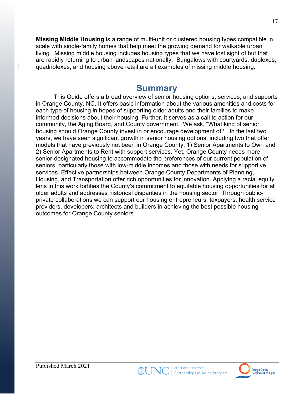**Missing Middle Housing** is a range of multi-unit or clustered housing types compatible in scale with single-family homes that help meet the growing demand for walkable urban living. Missing middle housing includes housing types that we have lost sight of but that are rapidly returning to urban landscapes nationally. Bungalows with courtyards, duplexes, quadriplexes, and housing above retail are all examples of missing middle housing.

# **Summary**

This Guide offers a broad overview of senior housing options, services, and supports in Orange County, NC. It offers basic information about the various amenities and costs for each type of housing in hopes of supporting older adults and their families to make informed decisions about their housing. Further, it serves as a call to action for our community, the Aging Board, and County government. We ask, "What kind of senior housing should Orange County invest in or encourage development of? In the last two years, we have seen significant growth in senior housing options, including two that offer models that have previously not been in Orange County: 1) Senior Apartments to Own and 2) Senior Apartments to Rent with support services. Yet, Orange County needs more senior-designated housing to accommodate the preferences of our current population of seniors, particularly those with low-middle incomes and those with needs for supportive services. Effective partnerships between Orange County Departments of Planning, Housing, and Transportation offer rich opportunities for innovation. Applying a racial equity lens in this work fortifies the County's commitment to equitable housing opportunities for all older adults and addresses historical disparities in the housing sector. Through publicprivate collaborations we can support our housing entrepreneurs, taxpayers, health service providers, developers, architects and builders in achieving the best possible housing outcomes for Orange County seniors.